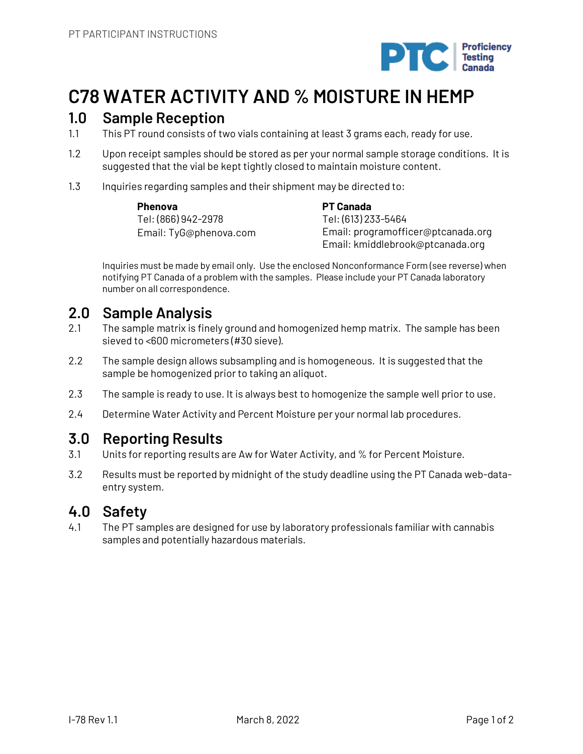

# **C78 WATER ACTIVITY AND % MOISTURE IN HEMP**

## **1.0 Sample Reception**

- 1.1 This PT round consists of two vials containing at least 3 grams each, ready for use.
- 1.2 Upon receipt samples should be stored as per your normal sample storage conditions. It is suggested that the vial be kept tightly closed to maintain moisture content.
- 1.3 Inquiries regarding samples and their shipment may be directed to:

**Phenova** Tel: (866) 942-2978 Email: TyG@phenova.com **PT Canada** Tel: (613) 233-5464 Email: programofficer@ptcanada.org Email: kmiddlebrook@ptcanada.org

Inquiries must be made by email only. Use the enclosed Nonconformance Form (see reverse) when notifying PT Canada of a problem with the samples. Please include your PT Canada laboratory number on all correspondence.

# **2.0 Sample Analysis**

- 2.1 The sample matrix is finely ground and homogenized hemp matrix. The sample has been sieved to <600 micrometers (#30 sieve).
- 2.2 The sample design allows subsampling and is homogeneous. It is suggested that the sample be homogenized prior to taking an aliquot.
- 2.3 The sample is ready to use. It is always best to homogenize the sample well prior to use.
- 2.4 Determine Water Activity and Percent Moisture per your normal lab procedures.

# **3.0 Reporting Results**

- 3.1 Units for reporting results are Aw for Water Activity, and % for Percent Moisture.
- 3.2 Results must be reported by midnight of the study deadline using the PT Canada web-dataentry system.

# **4.0 Safety**

4.1 The PT samples are designed for use by laboratory professionals familiar with cannabis samples and potentially hazardous materials.